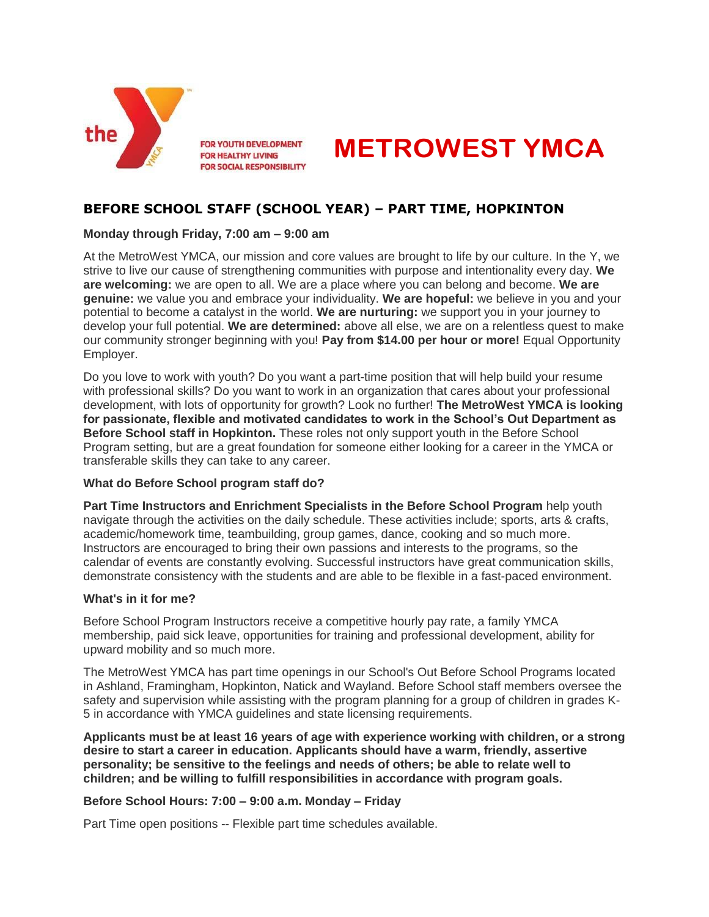

**FOR YOUTH DEVELOPMENT FOR HEALTHY LIVING FOR SOCIAL RESPONSIBILITY** 



# **BEFORE SCHOOL STAFF (SCHOOL YEAR) – PART TIME, HOPKINTON**

## **Monday through Friday, 7:00 am – 9:00 am**

At the MetroWest YMCA, our mission and core values are brought to life by our culture. In the Y, we strive to live our cause of strengthening communities with purpose and intentionality every day. **We are welcoming:** we are open to all. We are a place where you can belong and become. **We are genuine:** we value you and embrace your individuality. **We are hopeful:** we believe in you and your potential to become a catalyst in the world. **We are nurturing:** we support you in your journey to develop your full potential. **We are determined:** above all else, we are on a relentless quest to make our community stronger beginning with you! **Pay from \$14.00 per hour or more!** Equal Opportunity Employer.

Do you love to work with youth? Do you want a part-time position that will help build your resume with professional skills? Do you want to work in an organization that cares about your professional development, with lots of opportunity for growth? Look no further! **The MetroWest YMCA is looking for passionate, flexible and motivated candidates to work in the School's Out Department as Before School staff in Hopkinton.** These roles not only support youth in the Before School Program setting, but are a great foundation for someone either looking for a career in the YMCA or transferable skills they can take to any career.

## **What do Before School program staff do?**

**Part Time Instructors and Enrichment Specialists in the Before School Program** help youth navigate through the activities on the daily schedule. These activities include; sports, arts & crafts, academic/homework time, teambuilding, group games, dance, cooking and so much more. Instructors are encouraged to bring their own passions and interests to the programs, so the calendar of events are constantly evolving. Successful instructors have great communication skills, demonstrate consistency with the students and are able to be flexible in a fast-paced environment.

#### **What's in it for me?**

Before School Program Instructors receive a competitive hourly pay rate, a family YMCA membership, paid sick leave, opportunities for training and professional development, ability for upward mobility and so much more.

The MetroWest YMCA has part time openings in our School's Out Before School Programs located in Ashland, Framingham, Hopkinton, Natick and Wayland. Before School staff members oversee the safety and supervision while assisting with the program planning for a group of children in grades K-5 in accordance with YMCA guidelines and state licensing requirements.

**Applicants must be at least 16 years of age with experience working with children, or a strong desire to start a career in education. Applicants should have a warm, friendly, assertive personality; be sensitive to the feelings and needs of others; be able to relate well to children; and be willing to fulfill responsibilities in accordance with program goals.**

## **Before School Hours: 7:00 – 9:00 a.m. Monday – Friday**

Part Time open positions -- Flexible part time schedules available.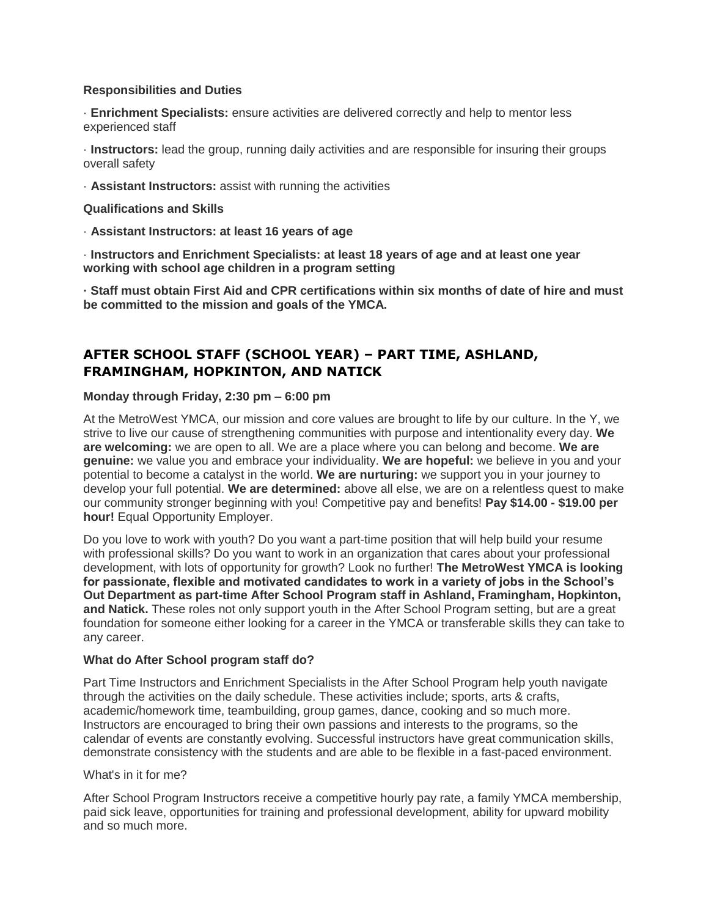#### **Responsibilities and Duties**

· **Enrichment Specialists:** ensure activities are delivered correctly and help to mentor less experienced staff

· **Instructors:** lead the group, running daily activities and are responsible for insuring their groups overall safety

· **Assistant Instructors:** assist with running the activities

**Qualifications and Skills**

· **Assistant Instructors: at least 16 years of age**

· **Instructors and Enrichment Specialists: at least 18 years of age and at least one year working with school age children in a program setting**

**· Staff must obtain First Aid and CPR certifications within six months of date of hire and must be committed to the mission and goals of the YMCA.**

# **AFTER SCHOOL STAFF (SCHOOL YEAR) – PART TIME, ASHLAND, FRAMINGHAM, HOPKINTON, AND NATICK**

#### **Monday through Friday, 2:30 pm – 6:00 pm**

At the MetroWest YMCA, our mission and core values are brought to life by our culture. In the Y, we strive to live our cause of strengthening communities with purpose and intentionality every day. **We are welcoming:** we are open to all. We are a place where you can belong and become. **We are genuine:** we value you and embrace your individuality. **We are hopeful:** we believe in you and your potential to become a catalyst in the world. **We are nurturing:** we support you in your journey to develop your full potential. **We are determined:** above all else, we are on a relentless quest to make our community stronger beginning with you! Competitive pay and benefits! **Pay \$14.00 - \$19.00 per hour!** Equal Opportunity Employer.

Do you love to work with youth? Do you want a part-time position that will help build your resume with professional skills? Do you want to work in an organization that cares about your professional development, with lots of opportunity for growth? Look no further! **The MetroWest YMCA is looking for passionate, flexible and motivated candidates to work in a variety of jobs in the School's Out Department as part-time After School Program staff in Ashland, Framingham, Hopkinton, and Natick.** These roles not only support youth in the After School Program setting, but are a great foundation for someone either looking for a career in the YMCA or transferable skills they can take to any career.

#### **What do After School program staff do?**

Part Time Instructors and Enrichment Specialists in the After School Program help youth navigate through the activities on the daily schedule. These activities include; sports, arts & crafts, academic/homework time, teambuilding, group games, dance, cooking and so much more. Instructors are encouraged to bring their own passions and interests to the programs, so the calendar of events are constantly evolving. Successful instructors have great communication skills, demonstrate consistency with the students and are able to be flexible in a fast-paced environment.

#### What's in it for me?

After School Program Instructors receive a competitive hourly pay rate, a family YMCA membership, paid sick leave, opportunities for training and professional development, ability for upward mobility and so much more.